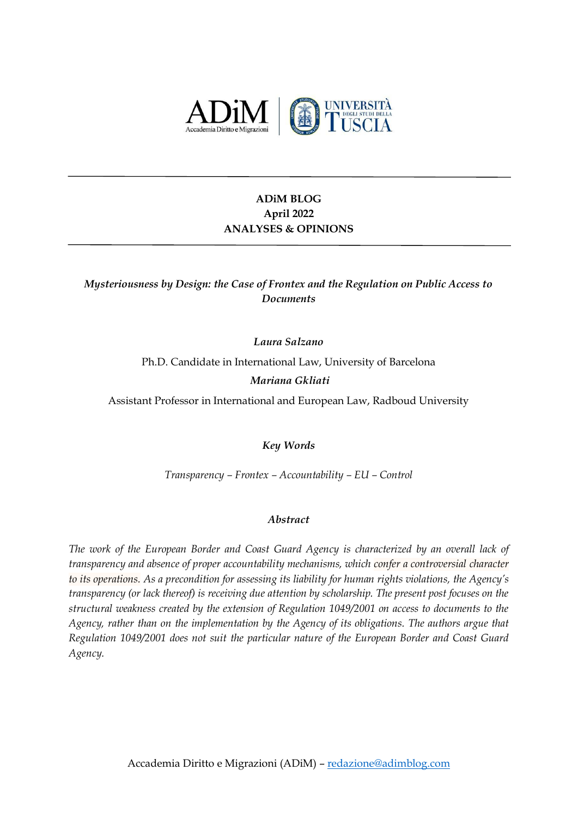

# **ADiM BLOG April 2022 ANALYSES & OPINIONS**

*Mysteriousness by Design: the Case of Frontex and the Regulation on Public Access to Documents*

*Laura Salzano*

Ph.D. Candidate in International Law, University of Barcelona

*Mariana Gkliati*

Assistant Professor in International and European Law, Radboud University

*Key Words*

*Transparency – Frontex – Accountability – EU – Control*

## *Abstract*

*The work of the European Border and Coast Guard Agency is characterized by an overall lack of transparency and absence of proper accountability mechanisms, which confer a controversial character to its operations. As a precondition for assessing its liability for human rights violations, the Agency's transparency (or lack thereof) is receiving due attention by scholarship. The present post focuses on the structural weakness created by the extension of Regulation 1049/2001 on access to documents to the Agency, rather than on the implementation by the Agency of its obligations. The authors argue that Regulation 1049/2001 does not suit the particular nature of the European Border and Coast Guard Agency.*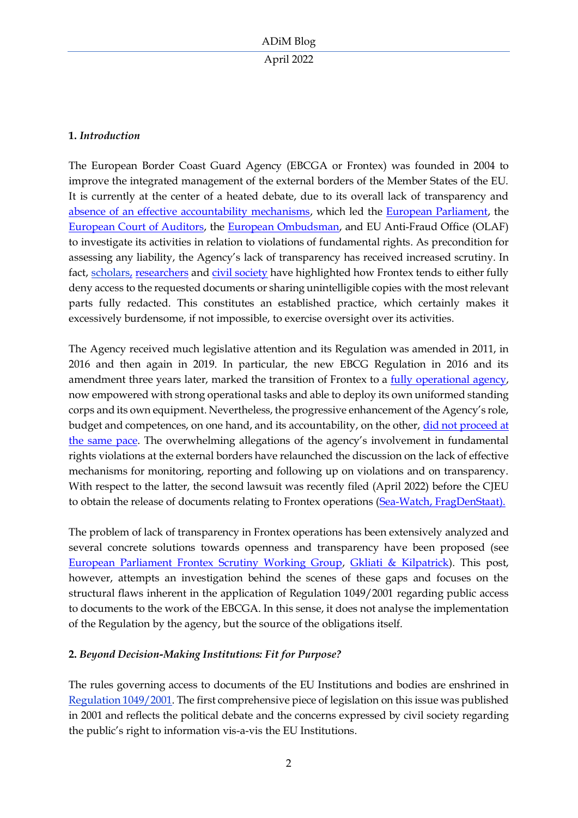# **1.** *Introduction*

The European Border Coast Guard Agency (EBCGA or Frontex) was founded in 2004 to improve the integrated management of the external borders of the Member States of the EU. It is currently at the center of a heated debate, due to its overall lack of transparency and [absence of an effective accountability mechanisms,](http://eulawanalysis.blogspot.com/2021/04/frontex-accountability-impervious-path.html) which led the [European Parliament,](https://www.europarl.europa.eu/cmsdata/238156/14072021%20Final%20Report%20FSWG_en.pdf) the [European Court of Auditors,](https://www.eca.europa.eu/en/Pages/DocItem.aspx?did=58564) the [European Ombudsman,](https://www.statewatch.org/analyses/2021/frontex-investigations-what-changes-in-the-eu-border-agency-s-accountability/) and EU Anti-Fraud Office (OLAF) to investigate its activities in relation to violations of fundamental rights. As precondition for assessing any liability, the Agency's lack of transparency has received increased scrutiny. In fact, [scholars,](https://www.utrechtlawreview.org/articles/10.36633/ulr.770/) [researchers](https://www.statewatch.org/observatories/frontex/access-to-documents-requests/) and [civil society](https://www.ecchr.eu/en/publication/analysis-opaque-and-unaccountable-frontex-operation-hera/) have highlighted how Frontex tends to either fully deny access to the requested documents or sharing unintelligible copies with the most relevant parts fully redacted. This constitutes an established practice, which certainly makes it excessively burdensome, if not impossible, to exercise oversight over its activities.

The Agency received much legislative attention and its Regulation was amended in 2011, in 2016 and then again in 2019. In particular, the new EBCG Regulation in 2016 and its amendment three years later, marked the transition of Frontex to a fully [operational](https://eulawanalysis.blogspot.com/2019/06/the-umpteenth-reinforcement-of-frontexs.html) agency, now empowered with strong operational tasks and able to deploy its own uniformed standing corps and its own equipment. Nevertheless, the progressive enhancement of the Agency's role, budget and competences, on one hand, and its accountability, on the other, did not proceed at [the same pace.](https://eulawanalysis.blogspot.com/2019/04/the-new-european-border-and-coast-guard.html?fbclid=IwAR2vNY3zP8TdnZXeTkL1AYmig2vYtBtmg6iy-YRD474BO-t3qYd61qXaDpE) The overwhelming allegations of the agency's involvement in fundamental rights violations at the external borders have relaunched the discussion on the lack of effective mechanisms for monitoring, reporting and following up on violations and on transparency. With respect to the latter, the second lawsuit was recently filed (April 2022) before the CJEU to obtain the release of documents relating to Frontex operations [\(Sea-Watch, FragDenStaat\).](https://sea-watch.org/en/sea-watch-takes-frontex-to-court/)

The problem of lack of transparency in Frontex operations has been extensively analyzed and several concrete solutions towards openness and transparency have been proposed (see [European Parliament Frontex Scrutiny Working Group,](https://www.statewatch.org/media/2590/ep-frontex-scrutiny-group-final-report-14-7-21.pdf) [Gkliati & Kilpatrick\)](https://www.utrechtlawreview.org/articles/10.36633/ulr.770/). This post, however, attempts an investigation behind the scenes of these gaps and focuses on the structural flaws inherent in the application of Regulation 1049/2001 regarding public access to documents to the work of the EBCGA. In this sense, it does not analyse the implementation of the Regulation by the agency, but the source of the obligations itself.

# **2.** *Beyond Decision-Making Institutions: Fit for Purpose?*

The rules governing access to documents of the EU Institutions and bodies are enshrined in [Regulation](https://eur-lex.europa.eu/legal-content/en/ALL/?uri=CELEX%3A32001R1049) 1049/2001. The first comprehensive piece of legislation on this issue was published in 2001 and reflects the political debate and the concerns expressed by civil society regarding the public's right to information vis-a-vis the EU Institutions.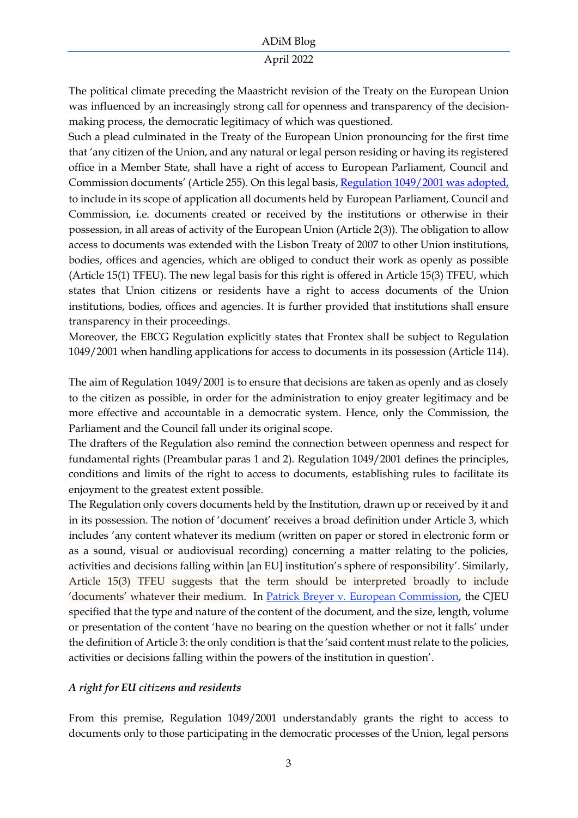### April 2022

The political climate preceding the Maastricht revision of the Treaty on the European Union was influenced by an increasingly strong call for openness and transparency of the decisionmaking process, the democratic legitimacy of which was questioned.

Such a plead culminated in the Treaty of the European Union pronouncing for the first time that 'any citizen of the Union, and any natural or legal person residing or having its registered office in a Member State, shall have a right of access to European Parliament, Council and Commission documents' (Article 255). On this legal basis[, Regulation 1049/2001](https://eur-lex.europa.eu/legal-content/en/ALL/?uri=CELEX%3A32001R1049) was adopted, to include in its scope of application all documents held by European Parliament, Council and Commission, i.e. documents created or received by the institutions or otherwise in their possession, in all areas of activity of the European Union (Article 2(3)). The obligation to allow access to documents was extended with the Lisbon Treaty of 2007 to other Union institutions, bodies, offices and agencies, which are obliged to conduct their work as openly as possible (Article 15(1) TFEU). The new legal basis for this right is offered in Article 15(3) TFEU, which states that Union citizens or residents have a right to access documents of the Union institutions, bodies, offices and agencies. It is further provided that institutions shall ensure transparency in their proceedings.

Moreover, the EBCG Regulation explicitly states that Frontex shall be subject to Regulation 1049/2001 when handling applications for access to documents in its possession (Article 114).

The aim of Regulation 1049/2001 is to ensure that decisions are taken as openly and as closely to the citizen as possible, in order for the administration to enjoy greater legitimacy and be more effective and accountable in a democratic system. Hence, only the Commission, the Parliament and the Council fall under its original scope.

The drafters of the Regulation also remind the connection between openness and respect for fundamental rights (Preambular paras 1 and 2). Regulation 1049/2001 defines the principles, conditions and limits of the right to access to documents, establishing rules to facilitate its enjoyment to the greatest extent possible.

The Regulation only covers documents held by the Institution, drawn up or received by it and in its possession. The notion of 'document' receives a broad definition under Article 3, which includes 'any content whatever its medium (written on paper or stored in electronic form or as a sound, visual or audiovisual recording) concerning a matter relating to the policies, activities and decisions falling within [an EU] institution's sphere of responsibility'. Similarly, Article 15(3) TFEU suggests that the term should be interpreted broadly to include 'documents' whatever their medium. In [Patrick Breyer v. European Commission,](https://eur-lex.europa.eu/legal-content/GA/TXT/?uri=CELEX:62015CJ0213) the CJEU specified that the type and nature of the content of the document, and the size, length, volume or presentation of the content 'have no bearing on the question whether or not it falls' under the definition of Article 3: the only condition is that the 'said content must relate to the policies, activities or decisions falling within the powers of the institution in question'.

# *A right for EU citizens and residents*

From this premise, Regulation 1049/2001 understandably grants the right to access to documents only to those participating in the democratic processes of the Union, legal persons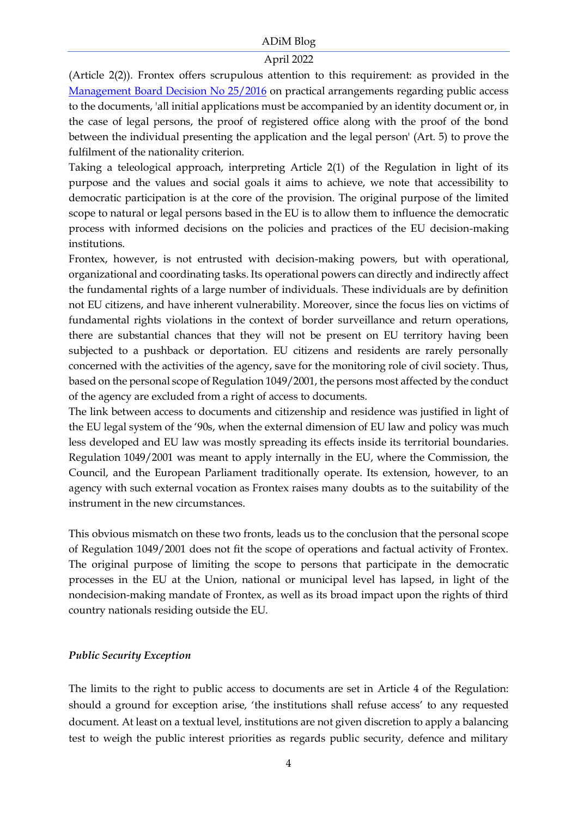#### April 2022

(Article 2(2)). Frontex offers scrupulous attention to this requirement: as provided in the [Management Board Decision No 25/2016](https://frontex.europa.eu/assets/Key_Documents/MB_Decision/2016/MB_Decision_25_2016_on_adopting_practical_arrangements_regarding_PAD.pdf) on practical arrangements regarding public access to the documents, 'all initial applications must be accompanied by an identity document or, in the case of legal persons, the proof of registered office along with the proof of the bond between the individual presenting the application and the legal person' (Art. 5) to prove the fulfilment of the nationality criterion.

Taking a teleological approach, interpreting Article 2(1) of the Regulation in light of its purpose and the values and social goals it aims to achieve, we note that accessibility to democratic participation is at the core of the provision. The original purpose of the limited scope to natural or legal persons based in the EU is to allow them to influence the democratic process with informed decisions on the policies and practices of the EU decision-making institutions.

Frontex, however, is not entrusted with decision-making powers, but with operational, organizational and coordinating tasks. Its operational powers can directly and indirectly affect the fundamental rights of a large number of individuals. These individuals are by definition not EU citizens, and have inherent vulnerability. Moreover, since the focus lies on victims of fundamental rights violations in the context of border surveillance and return operations, there are substantial chances that they will not be present on EU territory having been subjected to a pushback or deportation. EU citizens and residents are rarely personally concerned with the activities of the agency, save for the monitoring role of civil society. Thus, based on the personal scope of Regulation 1049/2001, the persons most affected by the conduct of the agency are excluded from a right of access to documents.

The link between access to documents and citizenship and residence was justified in light of the EU legal system of the '90s, when the external dimension of EU law and policy was much less developed and EU law was mostly spreading its effects inside its territorial boundaries. Regulation 1049/2001 was meant to apply internally in the EU, where the Commission, the Council, and the European Parliament traditionally operate. Its extension, however, to an agency with such external vocation as Frontex raises many doubts as to the suitability of the instrument in the new circumstances.

This obvious mismatch on these two fronts, leads us to the conclusion that the personal scope of Regulation 1049/2001 does not fit the scope of operations and factual activity of Frontex. The original purpose of limiting the scope to persons that participate in the democratic processes in the EU at the Union, national or municipal level has lapsed, in light of the nondecision-making mandate of Frontex, as well as its broad impact upon the rights of third country nationals residing outside the EU.

### *Public Security Exception*

The limits to the right to public access to documents are set in Article 4 of the Regulation: should a ground for exception arise, 'the institutions shall refuse access' to any requested document. At least on a textual level, institutions are not given discretion to apply a balancing test to weigh the public interest priorities as regards public security, defence and military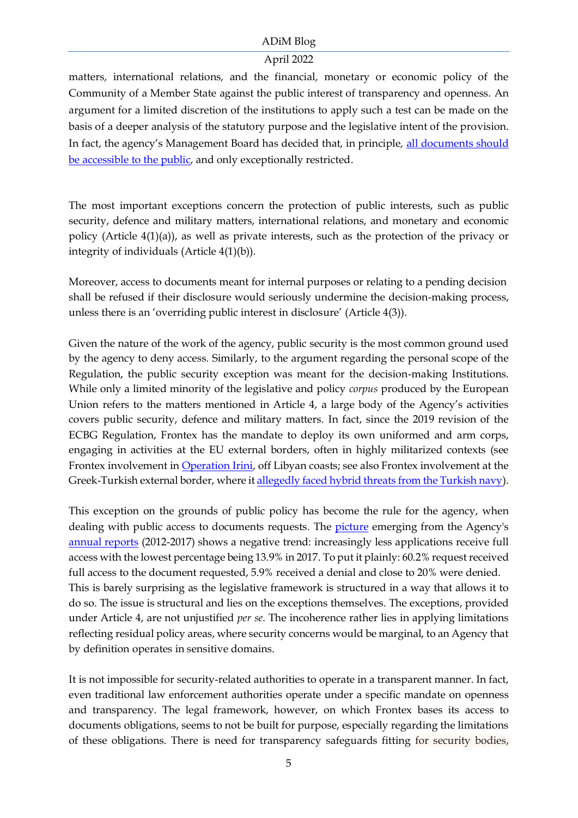# April 2022

matters, international relations, and the financial, monetary or economic policy of the Community of a Member State against the public interest of transparency and openness. An argument for a limited discretion of the institutions to apply such a test can be made on the basis of a deeper analysis of the statutory purpose and the legislative intent of the provision. In fact, the agency's Management Board has decided that, in principle, [all documents should](https://frontex.europa.eu/assets/Key_Documents/MB_Decision/2016/MB_Decision_25_2016_on_adopting_practical_arrangements_regarding_PAD.pdf)  [be accessible to the public,](https://frontex.europa.eu/assets/Key_Documents/MB_Decision/2016/MB_Decision_25_2016_on_adopting_practical_arrangements_regarding_PAD.pdf) and only exceptionally restricted.

The most important exceptions concern the protection of public interests, such as public security, defence and military matters, international relations, and monetary and economic policy (Article 4(1)(a)), as well as private interests, such as the protection of the privacy or integrity of individuals (Article 4(1)(b)).

Moreover, access to documents meant for internal purposes or relating to a pending decision shall be refused if their disclosure would seriously undermine the decision-making process, unless there is an 'overriding public interest in disclosure' (Article 4(3)).

Given the nature of the work of the agency, public security is the most common ground used by the agency to deny access. Similarly, to the argument regarding the personal scope of the Regulation, the public security exception was meant for the decision-making Institutions. While only a limited minority of the legislative and policy *corpus* produced by the European Union refers to the matters mentioned in Article 4, a large body of the Agency's activities covers public security, defence and military matters. In fact, since the 2019 revision of the ECBG Regulation, Frontex has the mandate to deploy its own uniformed and arm corps, engaging in activities at the EU external borders, often in highly militarized contexts (see Frontex involvement in [Operation Irini,](https://www.operationirini.eu/libyancoastalwaters/) off Libyan coasts; see also Frontex involvement at the Greek-Turkish external border, where i[t allegedly faced hybrid threats from the Turkish navy\)](https://www.statewatch.org/media/1941/greece-2.pdf).

This exception on the grounds of public policy has become the rule for the agency, when dealing with public access to documents requests. The [picture](https://www.utrechtlawreview.org/articles/10.36633/ulr.770/) emerging from the Agency's [annual reports](https://frontex.europa.eu/documents-and-publications) (2012-2017) shows a negative trend: increasingly less applications receive full access with the lowest percentage being 13.9% in 2017. To put it plainly: 60.2% request received full access to the document requested, 5.9% received a denial and close to 20% were denied. This is barely surprising as the legislative framework is structured in a way that allows it to do so. The issue is structural and lies on the exceptions themselves. The exceptions, provided under Article 4, are not unjustified *per se*. The incoherence rather lies in applying limitations reflecting residual policy areas, where security concerns would be marginal, to an Agency that by definition operates in sensitive domains.

It is not impossible for security-related authorities to operate in a transparent manner. In fact, even traditional law enforcement authorities operate under a specific mandate on openness and transparency. The legal framework, however, on which Frontex bases its access to documents obligations, seems to not be built for purpose, especially regarding the limitations of these obligations. There is need for transparency safeguards fitting for security bodies,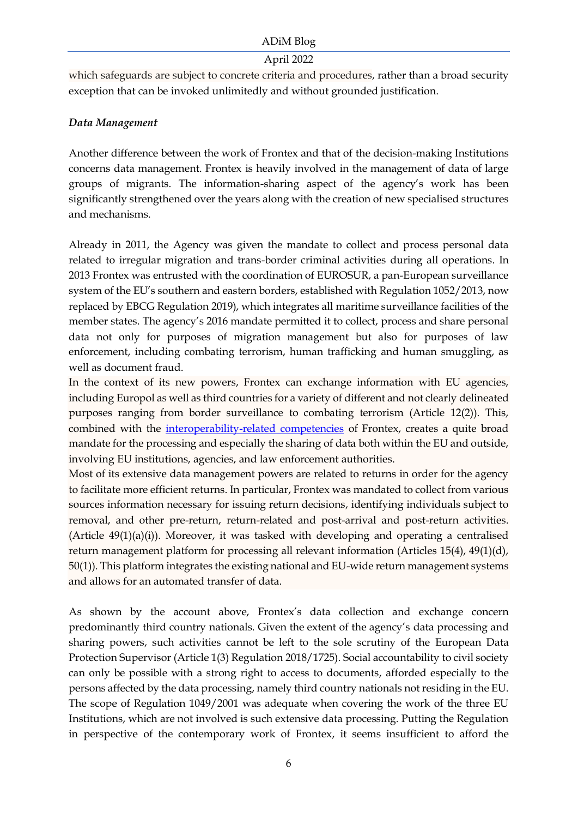## April 2022

which safeguards are subject to concrete criteria and procedures, rather than a broad security exception that can be invoked unlimitedly and without grounded justification.

# *Data Management*

Another difference between the work of Frontex and that of the decision-making Institutions concerns data management. Frontex is heavily involved in the management of data of large groups of migrants. The information-sharing aspect of the agency's work has been significantly strengthened over the years along with the creation of new specialised structures and mechanisms.

Already in 2011, the Agency was given the mandate to collect and process personal data related to irregular migration and trans-border criminal activities during all operations. In 2013 Frontex was entrusted with the coordination of EUROSUR, a pan-European surveillance system of the EU's southern and eastern borders, established with Regulation 1052/2013, now replaced by EBCG Regulation 2019), which integrates all maritime surveillance facilities of the member states. The agency's 2016 mandate permitted it to collect, process and share personal data not only for purposes of migration management but also for purposes of law enforcement, including combating terrorism, human trafficking and human smuggling, as well as document fraud.

In the context of its new powers, Frontex can exchange information with EU agencies, including Europol as well as third countries for a variety of different and not clearly delineated purposes ranging from border surveillance to combating terrorism (Article 12(2)). This, combined with the [interoperability-related competencies](https://www.statewatch.org/news/2018/may/eu-interoperability-member-states-want-substantial-changes-to-entry-exit-system-questions-over-red-links-and-the-role-of-frontex/) of Frontex, creates a quite broad mandate for the processing and especially the sharing of data both within the EU and outside, involving EU institutions, agencies, and law enforcement authorities.

Most of its extensive data management powers are related to returns in order for the agency to facilitate more efficient returns. In particular, Frontex was mandated to collect from various sources information necessary for issuing return decisions, identifying individuals subject to removal, and other pre-return, return-related and post-arrival and post-return activities. (Article 49(1)(a)(i)). Moreover, it was tasked with developing and operating a centralised return management platform for processing all relevant information (Articles 15(4), 49(1)(d), 50(1)). This platform integrates the existing national and EU-wide return management systems and allows for an automated transfer of data.

As shown by the account above, Frontex's data collection and exchange concern predominantly third country nationals. Given the extent of the agency's data processing and sharing powers, such activities cannot be left to the sole scrutiny of the European Data Protection Supervisor (Article 1(3) Regulation 2018/1725). Social accountability to civil society can only be possible with a strong right to access to documents, afforded especially to the persons affected by the data processing, namely third country nationals not residing in the EU. The scope of Regulation 1049/2001 was adequate when covering the work of the three EU Institutions, which are not involved is such extensive data processing. Putting the Regulation in perspective of the contemporary work of Frontex, it seems insufficient to afford the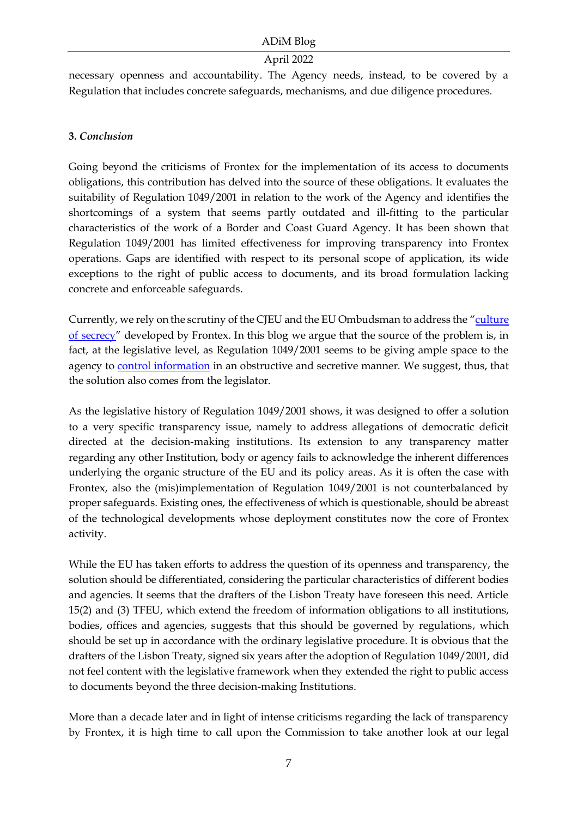## April 2022

necessary openness and accountability. The Agency needs, instead, to be covered by a Regulation that includes concrete safeguards, mechanisms, and due diligence procedures.

# **3.** *Conclusion*

Going beyond the criticisms of Frontex for the implementation of its access to documents obligations, this contribution has delved into the source of these obligations. It evaluates the suitability of Regulation 1049/2001 in relation to the work of the Agency and identifies the shortcomings of a system that seems partly outdated and ill-fitting to the particular characteristics of the work of a Border and Coast Guard Agency. It has been shown that Regulation 1049/2001 has limited effectiveness for improving transparency into Frontex operations. Gaps are identified with respect to its personal scope of application, its wide exceptions to the right of public access to documents, and its broad formulation lacking concrete and enforceable safeguards.

Currently, we rely on the scrutiny of the CJEU and the EU Ombudsman to address the "[culture](http://www.europarl.europa.eu/meetdocs/2009_2014/documents/libe/dv/02_study_fundamental_rights_/02_study_fundamental_rights_en.pdf)  [of secrecy](http://www.europarl.europa.eu/meetdocs/2009_2014/documents/libe/dv/02_study_fundamental_rights_/02_study_fundamental_rights_en.pdf)" developed by Frontex. In this blog we argue that the source of the problem is, in fact, at the legislative level, as Regulation 1049/2001 seems to be giving ample space to the agency to [control information](https://www.eu-opengovernment.eu/?p=2917) in an obstructive and secretive manner. We suggest, thus, that the solution also comes from the legislator.

As the legislative history of Regulation 1049/2001 shows, it was designed to offer a solution to a very specific transparency issue, namely to address allegations of democratic deficit directed at the decision-making institutions. Its extension to any transparency matter regarding any other Institution, body or agency fails to acknowledge the inherent differences underlying the organic structure of the EU and its policy areas. As it is often the case with Frontex, also the (mis)implementation of Regulation 1049/2001 is not counterbalanced by proper safeguards. Existing ones, the effectiveness of which is questionable, should be abreast of the technological developments whose deployment constitutes now the core of Frontex activity.

While the EU has taken efforts to address the question of its openness and transparency, the solution should be differentiated, considering the particular characteristics of different bodies and agencies. It seems that the drafters of the Lisbon Treaty have foreseen this need. Article 15(2) and (3) TFEU, which extend the freedom of information obligations to all institutions, bodies, offices and agencies, suggests that this should be governed by regulations, which should be set up in accordance with the ordinary legislative procedure. It is obvious that the drafters of the Lisbon Treaty, signed six years after the adoption of Regulation 1049/2001, did not feel content with the legislative framework when they extended the right to public access to documents beyond the three decision-making Institutions.

More than a decade later and in light of intense criticisms regarding the lack of transparency by Frontex, it is high time to call upon the Commission to take another look at our legal